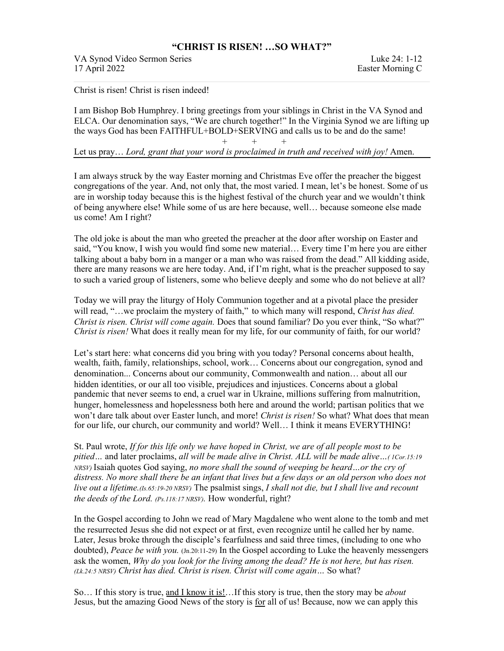## **"CHRIST IS RISEN! …SO WHAT?"**

VA Synod Video Sermon Series Luke 24: 1-12 17 April 2022 Easter Morning C

Christ is risen! Christ is risen indeed!

I am Bishop Bob Humphrey. I bring greetings from your siblings in Christ in the VA Synod and ELCA. Our denomination says, "We are church together!" In the Virginia Synod we are lifting up the ways God has been FAITHFUL+BOLD+SERVING and calls us to be and do the same! + + +

Let us pray… *Lord, grant that your word is proclaimed in truth and received with joy!* Amen.

I am always struck by the way Easter morning and Christmas Eve offer the preacher the biggest congregations of the year. And, not only that, the most varied. I mean, let's be honest. Some of us are in worship today because this is the highest festival of the church year and we wouldn't think of being anywhere else! While some of us are here because, well… because someone else made us come! Am I right?

The old joke is about the man who greeted the preacher at the door after worship on Easter and said, "You know, I wish you would find some new material… Every time I'm here you are either talking about a baby born in a manger or a man who was raised from the dead." All kidding aside, there are many reasons we are here today. And, if I'm right, what is the preacher supposed to say to such a varied group of listeners, some who believe deeply and some who do not believe at all?

Today we will pray the liturgy of Holy Communion together and at a pivotal place the presider will read, "…we proclaim the mystery of faith," to which many will respond, *Christ has died. Christ is risen. Christ will come again.* Does that sound familiar? Do you ever think, "So what?" *Christ is risen!* What does it really mean for my life, for our community of faith, for our world?

Let's start here: what concerns did you bring with you today? Personal concerns about health, wealth, faith, family, relationships, school, work… Concerns about our congregation, synod and denomination... Concerns about our community, Commonwealth and nation… about all our hidden identities, or our all too visible, prejudices and injustices. Concerns about a global pandemic that never seems to end, a cruel war in Ukraine, millions suffering from malnutrition, hunger, homelessness and hopelessness both here and around the world; partisan politics that we won't dare talk about over Easter lunch, and more! *Christ is risen!* So what? What does that mean for our life, our church, our community and world? Well… I think it means EVERYTHING!

St. Paul wrote, *If for this life only we have hoped in Christ, we are of all people most to be pitied…* and later proclaims, *all will be made alive in Christ. ALL will be made alive…( 1Cor.15:19 NRSV)* Isaiah quotes God saying, *no more shall the sound of weeping be heard…or the cry of distress. No more shall there be an infant that lives but a few days or an old person who does not live out a lifetime.(Is.65:19-20 NRSV)* The psalmist sings, *I shall not die, but I shall live and recount the deeds of the Lord. (Ps.118:17 NRSV).* How wonderful, right?

In the Gospel according to John we read of Mary Magdalene who went alone to the tomb and met the resurrected Jesus she did not expect or at first, even recognize until he called her by name. Later, Jesus broke through the disciple's fearfulness and said three times, (including to one who doubted), *Peace be with you.* (Jn.20:11-29) In the Gospel according to Luke the heavenly messengers ask the women, *Why do you look for the living among the dead? He is not here, but has risen. (Lk.24:5 NRSV) Christ has died. Christ is risen. Christ will come again…* So what?

So… If this story is true, and I know it is!…If this story is true, then the story may be *about* Jesus, but the amazing Good News of the story is for all of us! Because, now we can apply this